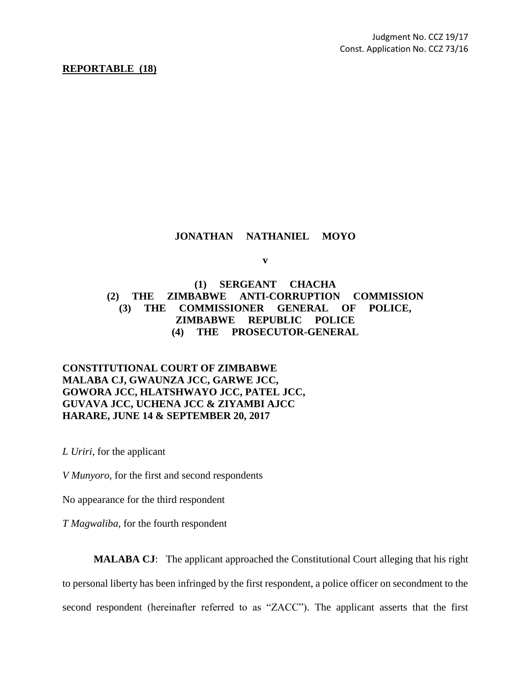#### **REPORTABLE (18)**

### **JONATHAN NATHANIEL MOYO**

**v**

# **(1) SERGEANT CHACHA (2) THE ZIMBABWE ANTI-CORRUPTION COMMISSION (3) THE COMMISSIONER GENERAL OF POLICE, ZIMBABWE REPUBLIC POLICE (4) THE PROSECUTOR-GENERAL**

## **CONSTITUTIONAL COURT OF ZIMBABWE MALABA CJ, GWAUNZA JCC, GARWE JCC, GOWORA JCC, HLATSHWAYO JCC, PATEL JCC, GUVAVA JCC, UCHENA JCC & ZIYAMBI AJCC HARARE, JUNE 14 & SEPTEMBER 20, 2017**

*L Uriri*, for the applicant

*V Munyoro*, for the first and second respondents

No appearance for the third respondent

*T Magwaliba*, for the fourth respondent

**MALABA CJ**: The applicant approached the Constitutional Court alleging that his right to personal liberty has been infringed by the first respondent, a police officer on secondment to the second respondent (hereinafter referred to as "ZACC"). The applicant asserts that the first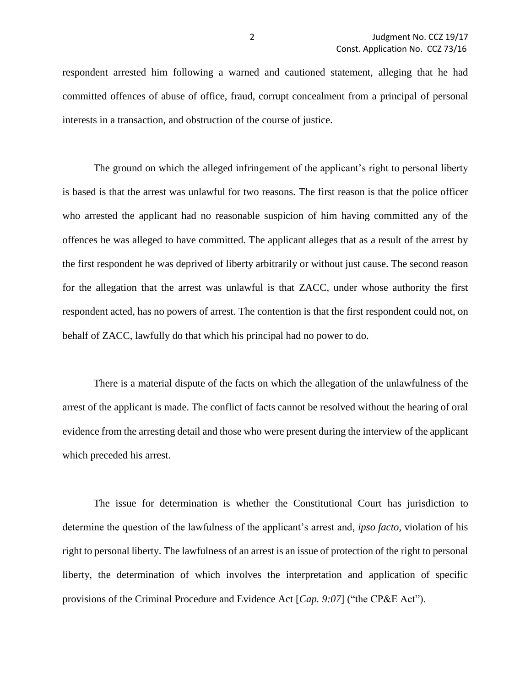respondent arrested him following a warned and cautioned statement, alleging that he had committed offences of abuse of office, fraud, corrupt concealment from a principal of personal interests in a transaction, and obstruction of the course of justice.

The ground on which the alleged infringement of the applicant's right to personal liberty is based is that the arrest was unlawful for two reasons. The first reason is that the police officer who arrested the applicant had no reasonable suspicion of him having committed any of the offences he was alleged to have committed. The applicant alleges that as a result of the arrest by the first respondent he was deprived of liberty arbitrarily or without just cause. The second reason for the allegation that the arrest was unlawful is that ZACC, under whose authority the first respondent acted, has no powers of arrest. The contention is that the first respondent could not, on behalf of ZACC, lawfully do that which his principal had no power to do.

There is a material dispute of the facts on which the allegation of the unlawfulness of the arrest of the applicant is made. The conflict of facts cannot be resolved without the hearing of oral evidence from the arresting detail and those who were present during the interview of the applicant which preceded his arrest.

The issue for determination is whether the Constitutional Court has jurisdiction to determine the question of the lawfulness of the applicant's arrest and, *ipso facto*, violation of his right to personal liberty. The lawfulness of an arrest is an issue of protection of the right to personal liberty, the determination of which involves the interpretation and application of specific provisions of the Criminal Procedure and Evidence Act [*Cap. 9:07*] ("the CP&E Act").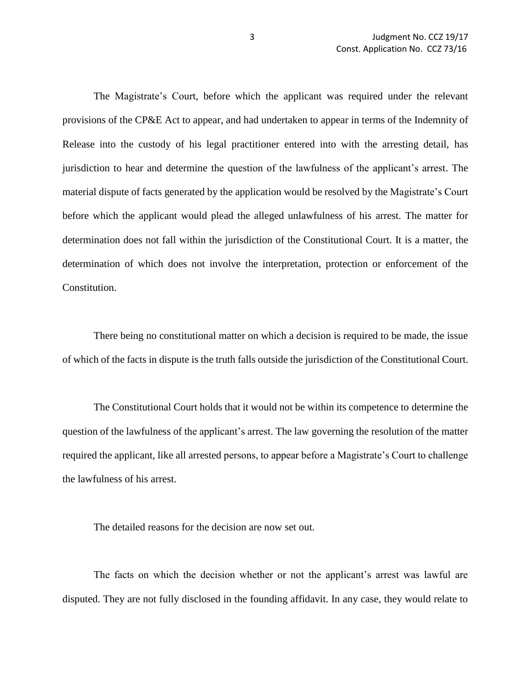The Magistrate's Court, before which the applicant was required under the relevant provisions of the CP&E Act to appear, and had undertaken to appear in terms of the Indemnity of Release into the custody of his legal practitioner entered into with the arresting detail, has jurisdiction to hear and determine the question of the lawfulness of the applicant's arrest. The material dispute of facts generated by the application would be resolved by the Magistrate's Court before which the applicant would plead the alleged unlawfulness of his arrest. The matter for determination does not fall within the jurisdiction of the Constitutional Court. It is a matter, the determination of which does not involve the interpretation, protection or enforcement of the Constitution.

There being no constitutional matter on which a decision is required to be made, the issue of which of the facts in dispute is the truth falls outside the jurisdiction of the Constitutional Court.

The Constitutional Court holds that it would not be within its competence to determine the question of the lawfulness of the applicant's arrest. The law governing the resolution of the matter required the applicant, like all arrested persons, to appear before a Magistrate's Court to challenge the lawfulness of his arrest.

The detailed reasons for the decision are now set out.

The facts on which the decision whether or not the applicant's arrest was lawful are disputed. They are not fully disclosed in the founding affidavit. In any case, they would relate to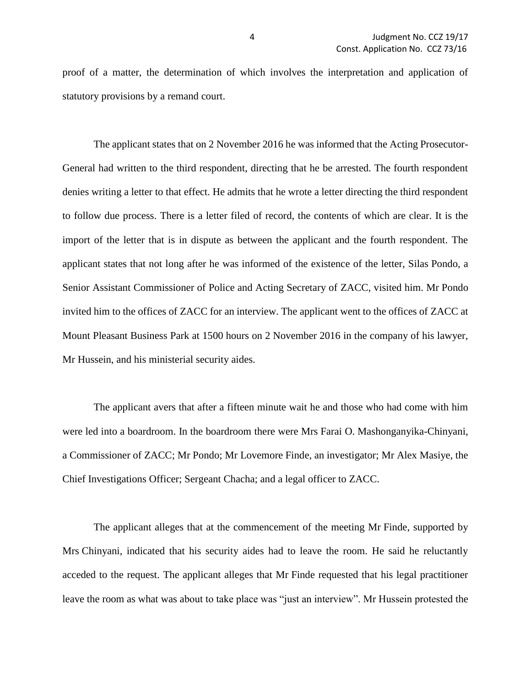proof of a matter, the determination of which involves the interpretation and application of statutory provisions by a remand court.

The applicant states that on 2 November 2016 he was informed that the Acting Prosecutor-General had written to the third respondent, directing that he be arrested. The fourth respondent denies writing a letter to that effect. He admits that he wrote a letter directing the third respondent to follow due process. There is a letter filed of record, the contents of which are clear. It is the import of the letter that is in dispute as between the applicant and the fourth respondent. The applicant states that not long after he was informed of the existence of the letter, Silas Pondo, a Senior Assistant Commissioner of Police and Acting Secretary of ZACC, visited him. Mr Pondo invited him to the offices of ZACC for an interview. The applicant went to the offices of ZACC at Mount Pleasant Business Park at 1500 hours on 2 November 2016 in the company of his lawyer, Mr Hussein, and his ministerial security aides.

The applicant avers that after a fifteen minute wait he and those who had come with him were led into a boardroom. In the boardroom there were Mrs Farai O. Mashonganyika-Chinyani, a Commissioner of ZACC; Mr Pondo; Mr Lovemore Finde, an investigator; Mr Alex Masiye, the Chief Investigations Officer; Sergeant Chacha; and a legal officer to ZACC.

The applicant alleges that at the commencement of the meeting Mr Finde, supported by Mrs Chinyani, indicated that his security aides had to leave the room. He said he reluctantly acceded to the request. The applicant alleges that Mr Finde requested that his legal practitioner leave the room as what was about to take place was "just an interview". Mr Hussein protested the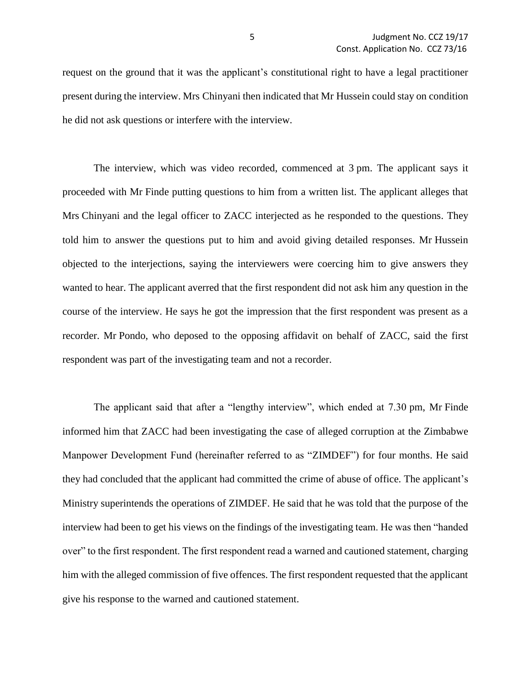request on the ground that it was the applicant's constitutional right to have a legal practitioner present during the interview. Mrs Chinyani then indicated that Mr Hussein could stay on condition he did not ask questions or interfere with the interview.

The interview, which was video recorded, commenced at 3 pm. The applicant says it proceeded with Mr Finde putting questions to him from a written list. The applicant alleges that Mrs Chinyani and the legal officer to ZACC interjected as he responded to the questions. They told him to answer the questions put to him and avoid giving detailed responses. Mr Hussein objected to the interjections, saying the interviewers were coercing him to give answers they wanted to hear. The applicant averred that the first respondent did not ask him any question in the course of the interview. He says he got the impression that the first respondent was present as a recorder. Mr Pondo, who deposed to the opposing affidavit on behalf of ZACC, said the first respondent was part of the investigating team and not a recorder.

The applicant said that after a "lengthy interview", which ended at 7.30 pm, Mr Finde informed him that ZACC had been investigating the case of alleged corruption at the Zimbabwe Manpower Development Fund (hereinafter referred to as "ZIMDEF") for four months. He said they had concluded that the applicant had committed the crime of abuse of office. The applicant's Ministry superintends the operations of ZIMDEF. He said that he was told that the purpose of the interview had been to get his views on the findings of the investigating team. He was then "handed over" to the first respondent. The first respondent read a warned and cautioned statement, charging him with the alleged commission of five offences. The first respondent requested that the applicant give his response to the warned and cautioned statement.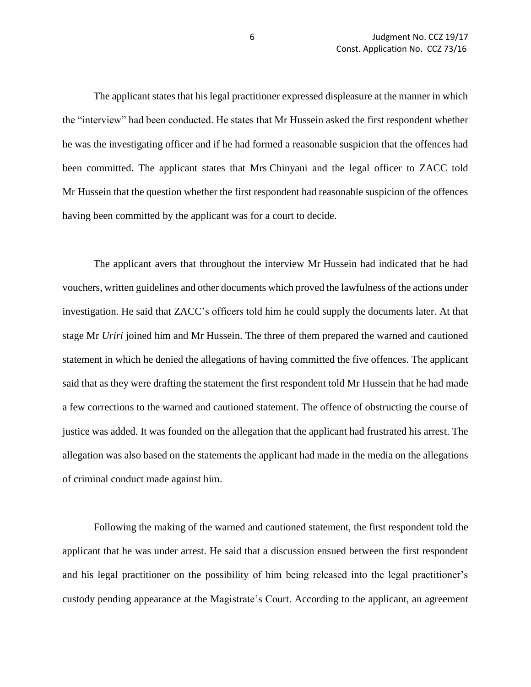The applicant states that his legal practitioner expressed displeasure at the manner in which the "interview" had been conducted. He states that Mr Hussein asked the first respondent whether he was the investigating officer and if he had formed a reasonable suspicion that the offences had been committed. The applicant states that Mrs Chinyani and the legal officer to ZACC told Mr Hussein that the question whether the first respondent had reasonable suspicion of the offences having been committed by the applicant was for a court to decide.

The applicant avers that throughout the interview Mr Hussein had indicated that he had vouchers, written guidelines and other documents which proved the lawfulness of the actions under investigation. He said that ZACC's officers told him he could supply the documents later. At that stage Mr *Uriri* joined him and Mr Hussein. The three of them prepared the warned and cautioned statement in which he denied the allegations of having committed the five offences. The applicant said that as they were drafting the statement the first respondent told Mr Hussein that he had made a few corrections to the warned and cautioned statement. The offence of obstructing the course of justice was added. It was founded on the allegation that the applicant had frustrated his arrest. The allegation was also based on the statements the applicant had made in the media on the allegations of criminal conduct made against him.

Following the making of the warned and cautioned statement, the first respondent told the applicant that he was under arrest. He said that a discussion ensued between the first respondent and his legal practitioner on the possibility of him being released into the legal practitioner's custody pending appearance at the Magistrate's Court. According to the applicant, an agreement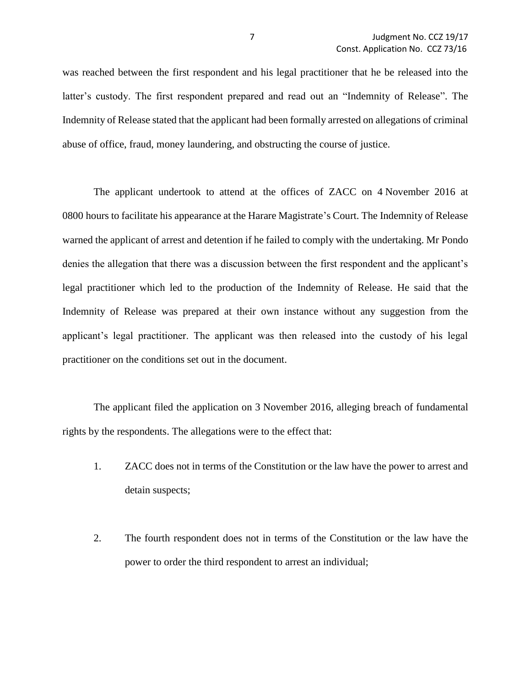was reached between the first respondent and his legal practitioner that he be released into the latter's custody. The first respondent prepared and read out an "Indemnity of Release". The Indemnity of Release stated that the applicant had been formally arrested on allegations of criminal abuse of office, fraud, money laundering, and obstructing the course of justice.

The applicant undertook to attend at the offices of ZACC on 4 November 2016 at 0800 hours to facilitate his appearance at the Harare Magistrate's Court. The Indemnity of Release warned the applicant of arrest and detention if he failed to comply with the undertaking. Mr Pondo denies the allegation that there was a discussion between the first respondent and the applicant's legal practitioner which led to the production of the Indemnity of Release. He said that the Indemnity of Release was prepared at their own instance without any suggestion from the applicant's legal practitioner. The applicant was then released into the custody of his legal practitioner on the conditions set out in the document.

The applicant filed the application on 3 November 2016, alleging breach of fundamental rights by the respondents. The allegations were to the effect that:

- 1. ZACC does not in terms of the Constitution or the law have the power to arrest and detain suspects;
- 2. The fourth respondent does not in terms of the Constitution or the law have the power to order the third respondent to arrest an individual;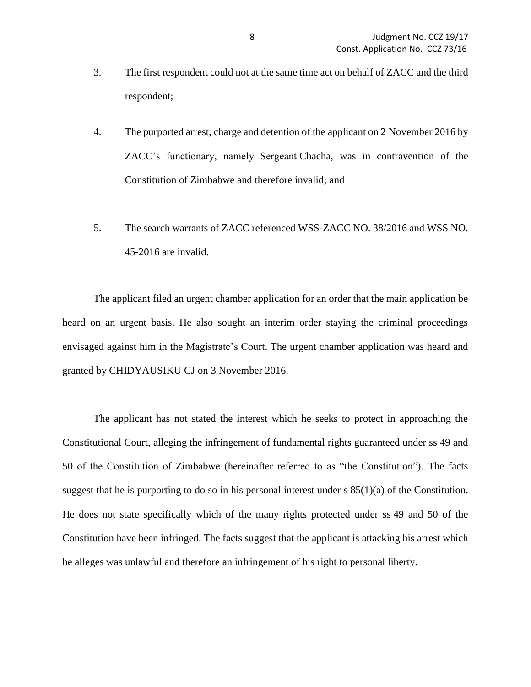- 3. The first respondent could not at the same time act on behalf of ZACC and the third respondent;
- 4. The purported arrest, charge and detention of the applicant on 2 November 2016 by ZACC's functionary, namely Sergeant Chacha, was in contravention of the Constitution of Zimbabwe and therefore invalid; and
- 5. The search warrants of ZACC referenced WSS-ZACC NO. 38/2016 and WSS NO. 45-2016 are invalid.

The applicant filed an urgent chamber application for an order that the main application be heard on an urgent basis. He also sought an interim order staying the criminal proceedings envisaged against him in the Magistrate's Court. The urgent chamber application was heard and granted by CHIDYAUSIKU CJ on 3 November 2016.

The applicant has not stated the interest which he seeks to protect in approaching the Constitutional Court, alleging the infringement of fundamental rights guaranteed under ss 49 and 50 of the Constitution of Zimbabwe (hereinafter referred to as "the Constitution"). The facts suggest that he is purporting to do so in his personal interest under  $s 85(1)(a)$  of the Constitution. He does not state specifically which of the many rights protected under ss 49 and 50 of the Constitution have been infringed. The facts suggest that the applicant is attacking his arrest which he alleges was unlawful and therefore an infringement of his right to personal liberty.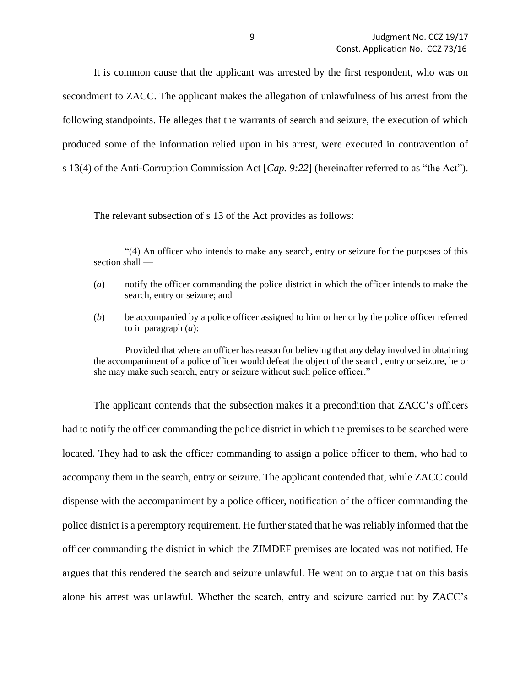It is common cause that the applicant was arrested by the first respondent, who was on secondment to ZACC. The applicant makes the allegation of unlawfulness of his arrest from the following standpoints. He alleges that the warrants of search and seizure, the execution of which produced some of the information relied upon in his arrest, were executed in contravention of s 13(4) of the Anti-Corruption Commission Act [*Cap. 9:22*] (hereinafter referred to as "the Act").

The relevant subsection of s 13 of the Act provides as follows:

"(4) An officer who intends to make any search, entry or seizure for the purposes of this section shall —

- (*a*) notify the officer commanding the police district in which the officer intends to make the search, entry or seizure; and
- (*b*) be accompanied by a police officer assigned to him or her or by the police officer referred to in paragraph (*a*):

Provided that where an officer has reason for believing that any delay involved in obtaining the accompaniment of a police officer would defeat the object of the search, entry or seizure, he or she may make such search, entry or seizure without such police officer."

The applicant contends that the subsection makes it a precondition that ZACC's officers had to notify the officer commanding the police district in which the premises to be searched were located. They had to ask the officer commanding to assign a police officer to them, who had to accompany them in the search, entry or seizure. The applicant contended that, while ZACC could dispense with the accompaniment by a police officer, notification of the officer commanding the police district is a peremptory requirement. He further stated that he was reliably informed that the officer commanding the district in which the ZIMDEF premises are located was not notified. He argues that this rendered the search and seizure unlawful. He went on to argue that on this basis alone his arrest was unlawful. Whether the search, entry and seizure carried out by ZACC's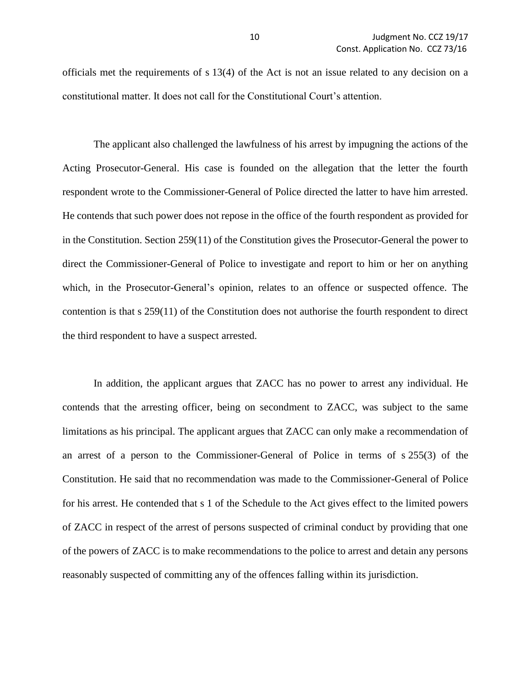officials met the requirements of s 13(4) of the Act is not an issue related to any decision on a constitutional matter. It does not call for the Constitutional Court's attention.

The applicant also challenged the lawfulness of his arrest by impugning the actions of the Acting Prosecutor-General. His case is founded on the allegation that the letter the fourth respondent wrote to the Commissioner-General of Police directed the latter to have him arrested. He contends that such power does not repose in the office of the fourth respondent as provided for in the Constitution. Section 259(11) of the Constitution gives the Prosecutor-General the power to direct the Commissioner-General of Police to investigate and report to him or her on anything which, in the Prosecutor-General's opinion, relates to an offence or suspected offence. The contention is that s 259(11) of the Constitution does not authorise the fourth respondent to direct the third respondent to have a suspect arrested.

In addition, the applicant argues that ZACC has no power to arrest any individual. He contends that the arresting officer, being on secondment to ZACC, was subject to the same limitations as his principal. The applicant argues that ZACC can only make a recommendation of an arrest of a person to the Commissioner-General of Police in terms of s 255(3) of the Constitution. He said that no recommendation was made to the Commissioner-General of Police for his arrest. He contended that s 1 of the Schedule to the Act gives effect to the limited powers of ZACC in respect of the arrest of persons suspected of criminal conduct by providing that one of the powers of ZACC is to make recommendations to the police to arrest and detain any persons reasonably suspected of committing any of the offences falling within its jurisdiction.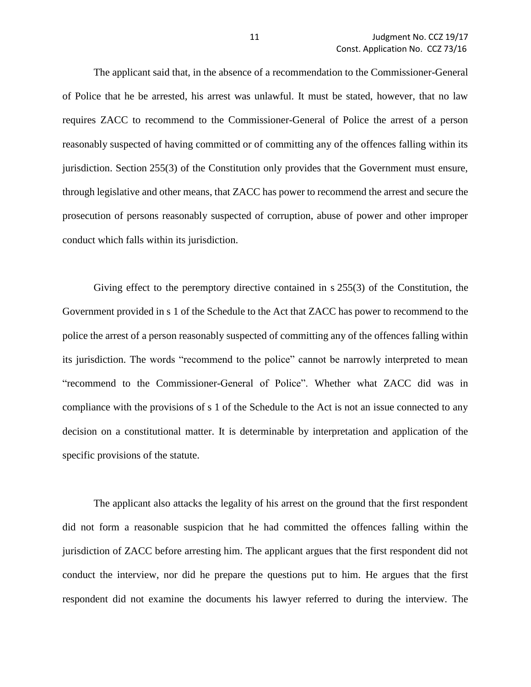The applicant said that, in the absence of a recommendation to the Commissioner-General of Police that he be arrested, his arrest was unlawful. It must be stated, however, that no law requires ZACC to recommend to the Commissioner-General of Police the arrest of a person reasonably suspected of having committed or of committing any of the offences falling within its jurisdiction. Section 255(3) of the Constitution only provides that the Government must ensure, through legislative and other means, that ZACC has power to recommend the arrest and secure the prosecution of persons reasonably suspected of corruption, abuse of power and other improper conduct which falls within its jurisdiction.

Giving effect to the peremptory directive contained in s 255(3) of the Constitution, the Government provided in s 1 of the Schedule to the Act that ZACC has power to recommend to the police the arrest of a person reasonably suspected of committing any of the offences falling within its jurisdiction. The words "recommend to the police" cannot be narrowly interpreted to mean "recommend to the Commissioner-General of Police". Whether what ZACC did was in compliance with the provisions of s 1 of the Schedule to the Act is not an issue connected to any decision on a constitutional matter. It is determinable by interpretation and application of the specific provisions of the statute.

The applicant also attacks the legality of his arrest on the ground that the first respondent did not form a reasonable suspicion that he had committed the offences falling within the jurisdiction of ZACC before arresting him. The applicant argues that the first respondent did not conduct the interview, nor did he prepare the questions put to him. He argues that the first respondent did not examine the documents his lawyer referred to during the interview. The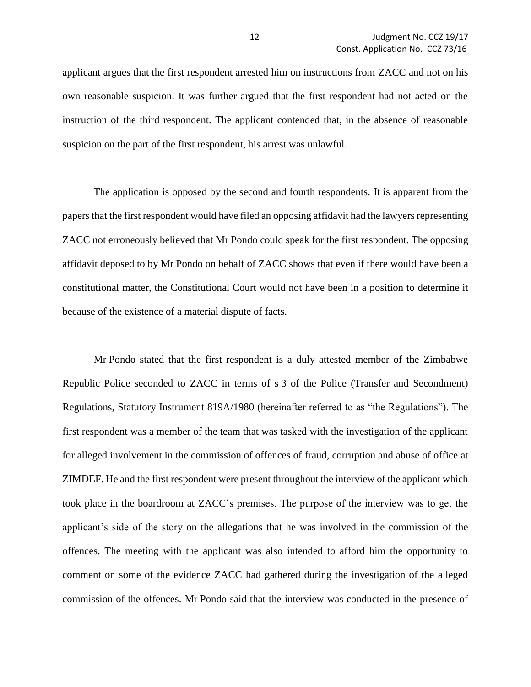applicant argues that the first respondent arrested him on instructions from ZACC and not on his own reasonable suspicion. It was further argued that the first respondent had not acted on the instruction of the third respondent. The applicant contended that, in the absence of reasonable suspicion on the part of the first respondent, his arrest was unlawful.

The application is opposed by the second and fourth respondents. It is apparent from the papers that the first respondent would have filed an opposing affidavit had the lawyers representing ZACC not erroneously believed that Mr Pondo could speak for the first respondent. The opposing affidavit deposed to by Mr Pondo on behalf of ZACC shows that even if there would have been a constitutional matter, the Constitutional Court would not have been in a position to determine it because of the existence of a material dispute of facts.

Mr Pondo stated that the first respondent is a duly attested member of the Zimbabwe Republic Police seconded to ZACC in terms of s 3 of the Police (Transfer and Secondment) Regulations, Statutory Instrument 819A/1980 (hereinafter referred to as "the Regulations"). The first respondent was a member of the team that was tasked with the investigation of the applicant for alleged involvement in the commission of offences of fraud, corruption and abuse of office at ZIMDEF. He and the first respondent were present throughout the interview of the applicant which took place in the boardroom at ZACC's premises. The purpose of the interview was to get the applicant's side of the story on the allegations that he was involved in the commission of the offences. The meeting with the applicant was also intended to afford him the opportunity to comment on some of the evidence ZACC had gathered during the investigation of the alleged commission of the offences. Mr Pondo said that the interview was conducted in the presence of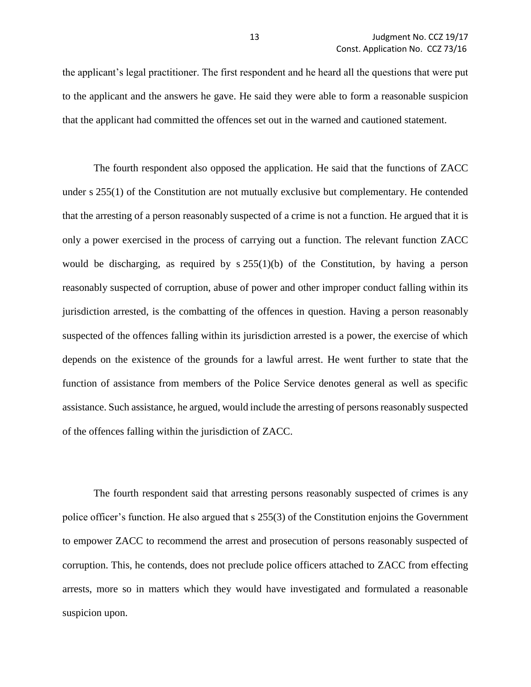the applicant's legal practitioner. The first respondent and he heard all the questions that were put to the applicant and the answers he gave. He said they were able to form a reasonable suspicion that the applicant had committed the offences set out in the warned and cautioned statement.

The fourth respondent also opposed the application. He said that the functions of ZACC under s 255(1) of the Constitution are not mutually exclusive but complementary. He contended that the arresting of a person reasonably suspected of a crime is not a function. He argued that it is only a power exercised in the process of carrying out a function. The relevant function ZACC would be discharging, as required by  $s \, 255(1)(b)$  of the Constitution, by having a person reasonably suspected of corruption, abuse of power and other improper conduct falling within its jurisdiction arrested, is the combatting of the offences in question. Having a person reasonably suspected of the offences falling within its jurisdiction arrested is a power, the exercise of which depends on the existence of the grounds for a lawful arrest. He went further to state that the function of assistance from members of the Police Service denotes general as well as specific assistance. Such assistance, he argued, would include the arresting of persons reasonably suspected of the offences falling within the jurisdiction of ZACC.

The fourth respondent said that arresting persons reasonably suspected of crimes is any police officer's function. He also argued that s 255(3) of the Constitution enjoins the Government to empower ZACC to recommend the arrest and prosecution of persons reasonably suspected of corruption. This, he contends, does not preclude police officers attached to ZACC from effecting arrests, more so in matters which they would have investigated and formulated a reasonable suspicion upon.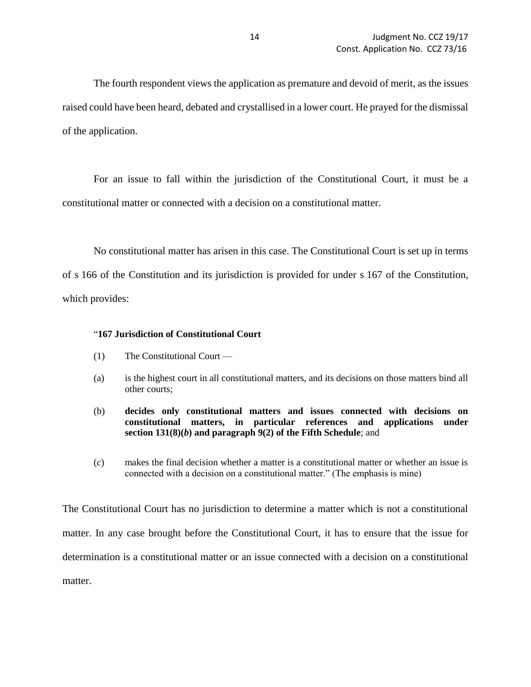The fourth respondent views the application as premature and devoid of merit, as the issues raised could have been heard, debated and crystallised in a lower court. He prayed for the dismissal of the application.

For an issue to fall within the jurisdiction of the Constitutional Court, it must be a constitutional matter or connected with a decision on a constitutional matter.

No constitutional matter has arisen in this case. The Constitutional Court is set up in terms of s 166 of the Constitution and its jurisdiction is provided for under s 167 of the Constitution, which provides:

### "**167 Jurisdiction of Constitutional Court**

- (1) The Constitutional Court —
- (a) is the highest court in all constitutional matters, and its decisions on those matters bind all other courts;
- (b) **decides only constitutional matters and issues connected with decisions on constitutional matters, in particular references and applications under section 131(8)(***b***) and paragraph 9(2) of the Fifth Schedule**; and
- (*c*) makes the final decision whether a matter is a constitutional matter or whether an issue is connected with a decision on a constitutional matter." (The emphasis is mine)

The Constitutional Court has no jurisdiction to determine a matter which is not a constitutional matter. In any case brought before the Constitutional Court, it has to ensure that the issue for determination is a constitutional matter or an issue connected with a decision on a constitutional matter.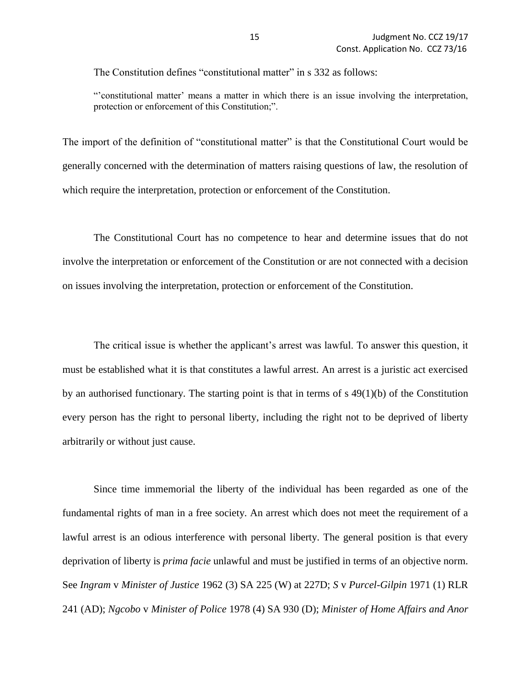The Constitution defines "constitutional matter" in s 332 as follows:

"'constitutional matter' means a matter in which there is an issue involving the interpretation, protection or enforcement of this Constitution;".

The import of the definition of "constitutional matter" is that the Constitutional Court would be generally concerned with the determination of matters raising questions of law, the resolution of which require the interpretation, protection or enforcement of the Constitution.

The Constitutional Court has no competence to hear and determine issues that do not involve the interpretation or enforcement of the Constitution or are not connected with a decision on issues involving the interpretation, protection or enforcement of the Constitution.

The critical issue is whether the applicant's arrest was lawful. To answer this question, it must be established what it is that constitutes a lawful arrest. An arrest is a juristic act exercised by an authorised functionary. The starting point is that in terms of  $s$  49(1)(b) of the Constitution every person has the right to personal liberty, including the right not to be deprived of liberty arbitrarily or without just cause.

Since time immemorial the liberty of the individual has been regarded as one of the fundamental rights of man in a free society. An arrest which does not meet the requirement of a lawful arrest is an odious interference with personal liberty. The general position is that every deprivation of liberty is *prima facie* unlawful and must be justified in terms of an objective norm. See *Ingram* v *Minister of Justice* 1962 (3) SA 225 (W) at 227D; *S* v *Purcel-Gilpin* 1971 (1) RLR 241 (AD); *Ngcobo* v *Minister of Police* 1978 (4) SA 930 (D); *Minister of Home Affairs and Anor*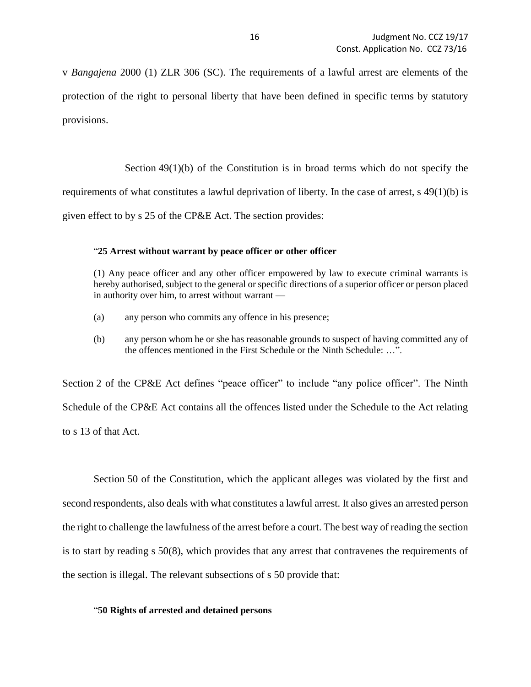v *Bangajena* 2000 (1) ZLR 306 (SC). The requirements of a lawful arrest are elements of the protection of the right to personal liberty that have been defined in specific terms by statutory provisions.

Section  $49(1)(b)$  of the Constitution is in broad terms which do not specify the requirements of what constitutes a lawful deprivation of liberty. In the case of arrest, s 49(1)(b) is given effect to by s 25 of the CP&E Act. The section provides:

#### "**25 Arrest without warrant by peace officer or other officer**

(1) Any peace officer and any other officer empowered by law to execute criminal warrants is hereby authorised, subject to the general or specific directions of a superior officer or person placed in authority over him, to arrest without warrant —

- (a) any person who commits any offence in his presence;
- (b) any person whom he or she has reasonable grounds to suspect of having committed any of the offences mentioned in the First Schedule or the Ninth Schedule: ...".

Section 2 of the CP&E Act defines "peace officer" to include "any police officer". The Ninth Schedule of the CP&E Act contains all the offences listed under the Schedule to the Act relating to s 13 of that Act.

Section 50 of the Constitution, which the applicant alleges was violated by the first and second respondents, also deals with what constitutes a lawful arrest. It also gives an arrested person the right to challenge the lawfulness of the arrest before a court. The best way of reading the section is to start by reading s 50(8), which provides that any arrest that contravenes the requirements of the section is illegal. The relevant subsections of s 50 provide that:

### "**50 Rights of arrested and detained persons**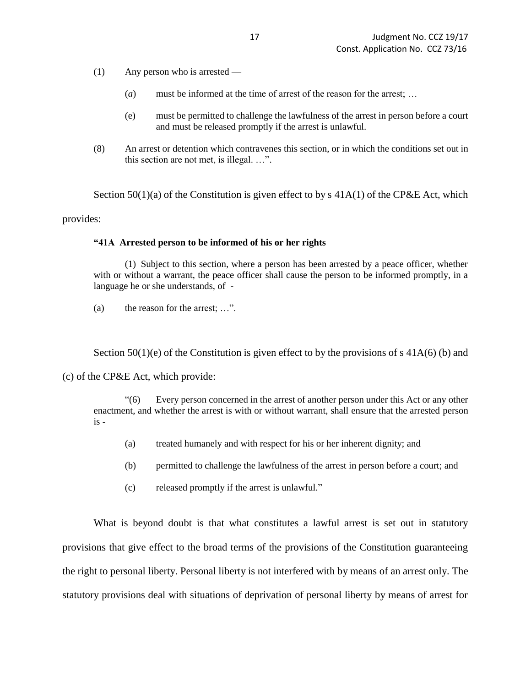- (1) Any person who is arrested
	- (*a*) must be informed at the time of arrest of the reason for the arrest; …
	- (e) must be permitted to challenge the lawfulness of the arrest in person before a court and must be released promptly if the arrest is unlawful.
- (8) An arrest or detention which contravenes this section, or in which the conditions set out in this section are not met, is illegal. …".

Section  $50(1)(a)$  of the Constitution is given effect to by s  $41A(1)$  of the CP&E Act, which provides:

#### **"41A Arrested person to be informed of his or her rights**

(1) Subject to this section, where a person has been arrested by a peace officer, whether with or without a warrant, the peace officer shall cause the person to be informed promptly, in a language he or she understands, of -

(a) the reason for the arrest; …".

Section  $50(1)(e)$  of the Constitution is given effect to by the provisions of s  $41A(6)(b)$  and

#### (c) of the CP&E Act, which provide:

"(6) Every person concerned in the arrest of another person under this Act or any other enactment, and whether the arrest is with or without warrant, shall ensure that the arrested person  $is -$ 

- (a) treated humanely and with respect for his or her inherent dignity; and
- (b) permitted to challenge the lawfulness of the arrest in person before a court; and
- (c) released promptly if the arrest is unlawful."

What is beyond doubt is that what constitutes a lawful arrest is set out in statutory provisions that give effect to the broad terms of the provisions of the Constitution guaranteeing the right to personal liberty. Personal liberty is not interfered with by means of an arrest only. The statutory provisions deal with situations of deprivation of personal liberty by means of arrest for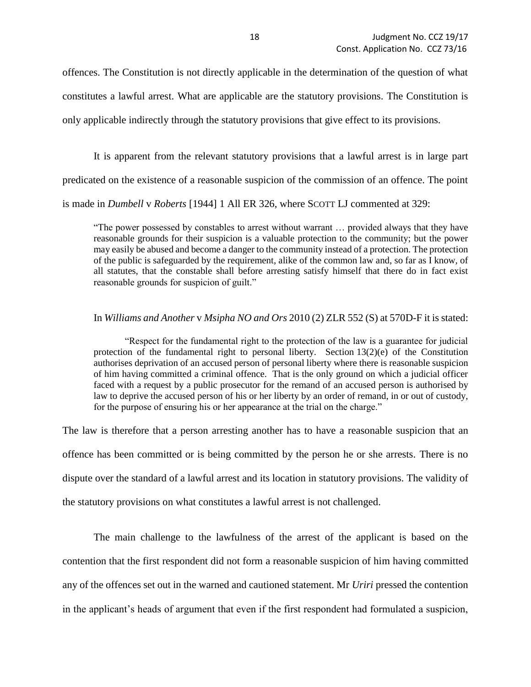offences. The Constitution is not directly applicable in the determination of the question of what constitutes a lawful arrest. What are applicable are the statutory provisions. The Constitution is only applicable indirectly through the statutory provisions that give effect to its provisions.

It is apparent from the relevant statutory provisions that a lawful arrest is in large part

predicated on the existence of a reasonable suspicion of the commission of an offence. The point

is made in *Dumbell* v *Roberts* [1944] 1 All ER 326, where SCOTT LJ commented at 329:

"The power possessed by constables to arrest without warrant … provided always that they have reasonable grounds for their suspicion is a valuable protection to the community; but the power may easily be abused and become a danger to the community instead of a protection. The protection of the public is safeguarded by the requirement, alike of the common law and, so far as I know, of all statutes, that the constable shall before arresting satisfy himself that there do in fact exist reasonable grounds for suspicion of guilt."

#### In *Williams and Another* v *Msipha NO and Ors* 2010 (2) ZLR 552 (S) at 570D-F it is stated:

"Respect for the fundamental right to the protection of the law is a guarantee for judicial protection of the fundamental right to personal liberty. Section  $13(2)(e)$  of the Constitution authorises deprivation of an accused person of personal liberty where there is reasonable suspicion of him having committed a criminal offence. That is the only ground on which a judicial officer faced with a request by a public prosecutor for the remand of an accused person is authorised by law to deprive the accused person of his or her liberty by an order of remand, in or out of custody, for the purpose of ensuring his or her appearance at the trial on the charge."

The law is therefore that a person arresting another has to have a reasonable suspicion that an offence has been committed or is being committed by the person he or she arrests. There is no dispute over the standard of a lawful arrest and its location in statutory provisions. The validity of the statutory provisions on what constitutes a lawful arrest is not challenged.

The main challenge to the lawfulness of the arrest of the applicant is based on the contention that the first respondent did not form a reasonable suspicion of him having committed any of the offences set out in the warned and cautioned statement. Mr *Uriri* pressed the contention in the applicant's heads of argument that even if the first respondent had formulated a suspicion,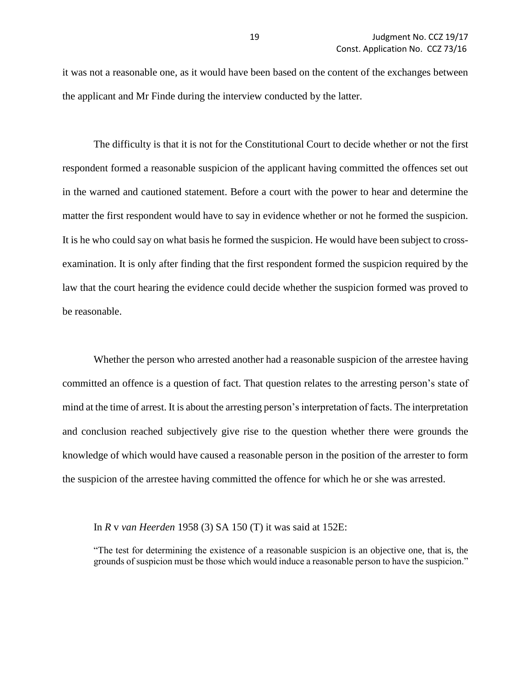it was not a reasonable one, as it would have been based on the content of the exchanges between the applicant and Mr Finde during the interview conducted by the latter.

The difficulty is that it is not for the Constitutional Court to decide whether or not the first respondent formed a reasonable suspicion of the applicant having committed the offences set out in the warned and cautioned statement. Before a court with the power to hear and determine the matter the first respondent would have to say in evidence whether or not he formed the suspicion. It is he who could say on what basis he formed the suspicion. He would have been subject to crossexamination. It is only after finding that the first respondent formed the suspicion required by the law that the court hearing the evidence could decide whether the suspicion formed was proved to be reasonable.

Whether the person who arrested another had a reasonable suspicion of the arrestee having committed an offence is a question of fact. That question relates to the arresting person's state of mind at the time of arrest. It is about the arresting person's interpretation of facts. The interpretation and conclusion reached subjectively give rise to the question whether there were grounds the knowledge of which would have caused a reasonable person in the position of the arrester to form the suspicion of the arrestee having committed the offence for which he or she was arrested.

In *R* v *van Heerden* 1958 (3) SA 150 (T) it was said at 152E:

"The test for determining the existence of a reasonable suspicion is an objective one, that is, the grounds of suspicion must be those which would induce a reasonable person to have the suspicion."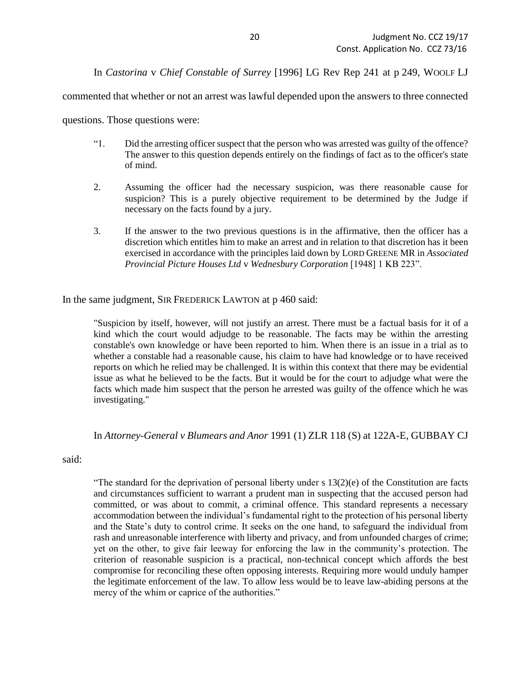In *Castorina* v *Chief Constable of Surrey* [1996] LG Rev Rep 241 at p 249, WOOLF LJ

commented that whether or not an arrest was lawful depended upon the answers to three connected

questions. Those questions were:

- "1. Did the arresting officer suspect that the person who was arrested was guilty of the offence? The answer to this question depends entirely on the findings of fact as to the officer's state of mind.
- 2. Assuming the officer had the necessary suspicion, was there reasonable cause for suspicion? This is a purely objective requirement to be determined by the Judge if necessary on the facts found by a jury.
- 3. If the answer to the two previous questions is in the affirmative, then the officer has a discretion which entitles him to make an arrest and in relation to that discretion has it been exercised in accordance with the principles laid down by LORD GREENE MR in *Associated Provincial Picture Houses Ltd* v *Wednesbury Corporation* [1948] 1 KB 223".

In the same judgment, SIR FREDERICK LAWTON at p 460 said:

"Suspicion by itself, however, will not justify an arrest. There must be a factual basis for it of a kind which the court would adjudge to be reasonable. The facts may be within the arresting constable's own knowledge or have been reported to him. When there is an issue in a trial as to whether a constable had a reasonable cause, his claim to have had knowledge or to have received reports on which he relied may be challenged. It is within this context that there may be evidential issue as what he believed to be the facts. But it would be for the court to adjudge what were the facts which made him suspect that the person he arrested was guilty of the offence which he was investigating."

### In *Attorney-General v Blumears and Anor* 1991 (1) ZLR 118 (S) at 122A-E, GUBBAY CJ

said:

"The standard for the deprivation of personal liberty under  $s$  13(2)(e) of the Constitution are facts and circumstances sufficient to warrant a prudent man in suspecting that the accused person had committed, or was about to commit, a criminal offence. This standard represents a necessary accommodation between the individual's fundamental right to the protection of his personal liberty and the State's duty to control crime. It seeks on the one hand, to safeguard the individual from rash and unreasonable interference with liberty and privacy, and from unfounded charges of crime; yet on the other, to give fair leeway for enforcing the law in the community's protection. The criterion of reasonable suspicion is a practical, non-technical concept which affords the best compromise for reconciling these often opposing interests. Requiring more would unduly hamper the legitimate enforcement of the law. To allow less would be to leave law-abiding persons at the mercy of the whim or caprice of the authorities."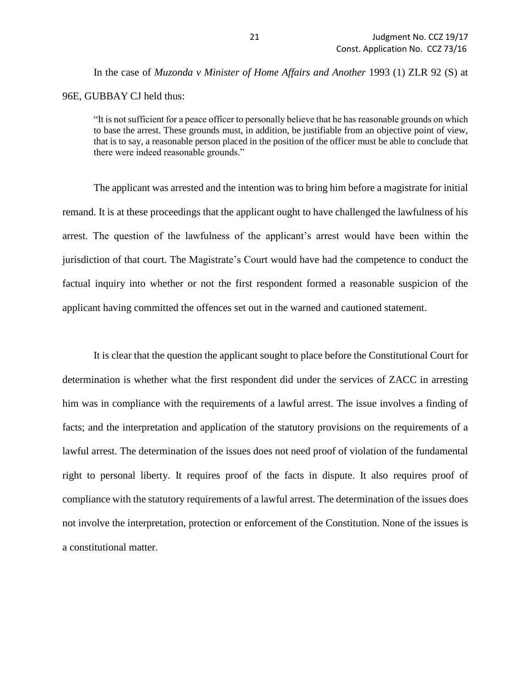In the case of *Muzonda v Minister of Home Affairs and Another* 1993 (1) ZLR 92 (S) at 96E, GUBBAY CJ held thus:

"It is not sufficient for a peace officer to personally believe that he has reasonable grounds on which to base the arrest. These grounds must, in addition, be justifiable from an objective point of view, that is to say, a reasonable person placed in the position of the officer must be able to conclude that there were indeed reasonable grounds."

The applicant was arrested and the intention was to bring him before a magistrate for initial remand. It is at these proceedings that the applicant ought to have challenged the lawfulness of his arrest. The question of the lawfulness of the applicant's arrest would have been within the jurisdiction of that court. The Magistrate's Court would have had the competence to conduct the factual inquiry into whether or not the first respondent formed a reasonable suspicion of the applicant having committed the offences set out in the warned and cautioned statement.

It is clear that the question the applicant sought to place before the Constitutional Court for determination is whether what the first respondent did under the services of ZACC in arresting him was in compliance with the requirements of a lawful arrest. The issue involves a finding of facts; and the interpretation and application of the statutory provisions on the requirements of a lawful arrest. The determination of the issues does not need proof of violation of the fundamental right to personal liberty. It requires proof of the facts in dispute. It also requires proof of compliance with the statutory requirements of a lawful arrest. The determination of the issues does not involve the interpretation, protection or enforcement of the Constitution. None of the issues is a constitutional matter.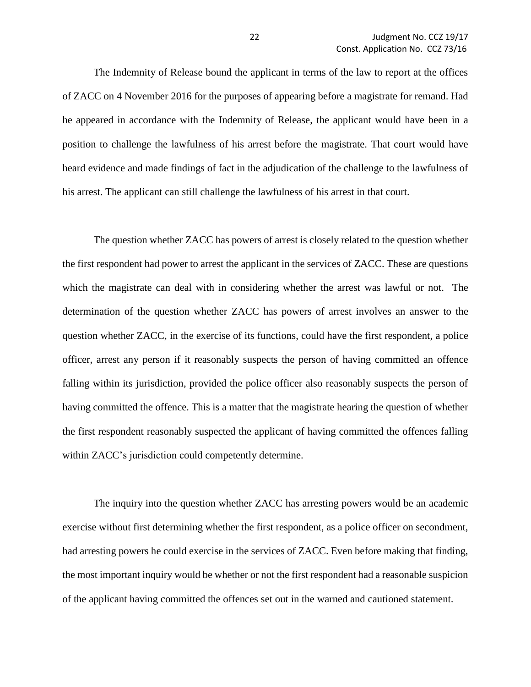The Indemnity of Release bound the applicant in terms of the law to report at the offices of ZACC on 4 November 2016 for the purposes of appearing before a magistrate for remand. Had he appeared in accordance with the Indemnity of Release, the applicant would have been in a position to challenge the lawfulness of his arrest before the magistrate. That court would have heard evidence and made findings of fact in the adjudication of the challenge to the lawfulness of his arrest. The applicant can still challenge the lawfulness of his arrest in that court.

The question whether ZACC has powers of arrest is closely related to the question whether the first respondent had power to arrest the applicant in the services of ZACC. These are questions which the magistrate can deal with in considering whether the arrest was lawful or not. The determination of the question whether ZACC has powers of arrest involves an answer to the question whether ZACC, in the exercise of its functions, could have the first respondent, a police officer, arrest any person if it reasonably suspects the person of having committed an offence falling within its jurisdiction, provided the police officer also reasonably suspects the person of having committed the offence. This is a matter that the magistrate hearing the question of whether the first respondent reasonably suspected the applicant of having committed the offences falling within ZACC's jurisdiction could competently determine.

The inquiry into the question whether ZACC has arresting powers would be an academic exercise without first determining whether the first respondent, as a police officer on secondment, had arresting powers he could exercise in the services of ZACC. Even before making that finding, the most important inquiry would be whether or not the first respondent had a reasonable suspicion of the applicant having committed the offences set out in the warned and cautioned statement.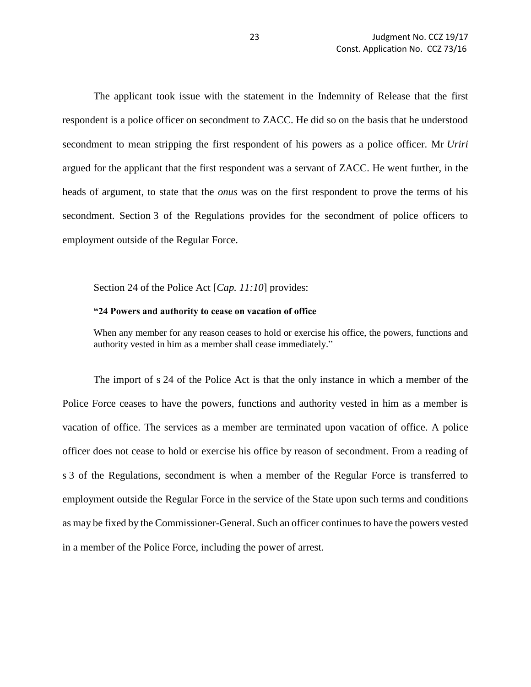The applicant took issue with the statement in the Indemnity of Release that the first respondent is a police officer on secondment to ZACC. He did so on the basis that he understood secondment to mean stripping the first respondent of his powers as a police officer. Mr *Uriri* argued for the applicant that the first respondent was a servant of ZACC. He went further, in the heads of argument, to state that the *onus* was on the first respondent to prove the terms of his secondment. Section 3 of the Regulations provides for the secondment of police officers to employment outside of the Regular Force.

#### Section 24 of the Police Act [*Cap. 11:10*] provides:

#### **"24 Powers and authority to cease on vacation of office**

When any member for any reason ceases to hold or exercise his office, the powers, functions and authority vested in him as a member shall cease immediately."

The import of s 24 of the Police Act is that the only instance in which a member of the Police Force ceases to have the powers, functions and authority vested in him as a member is vacation of office. The services as a member are terminated upon vacation of office. A police officer does not cease to hold or exercise his office by reason of secondment. From a reading of s 3 of the Regulations, secondment is when a member of the Regular Force is transferred to employment outside the Regular Force in the service of the State upon such terms and conditions as may be fixed by the Commissioner-General. Such an officer continues to have the powers vested in a member of the Police Force, including the power of arrest.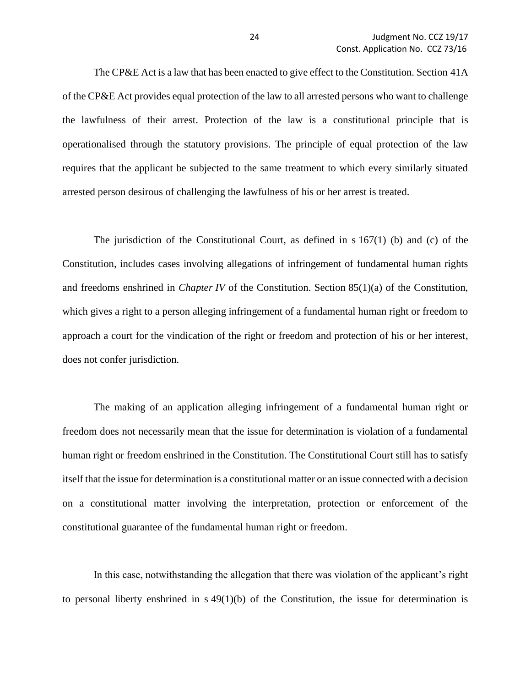The CP&E Act is a law that has been enacted to give effect to the Constitution. Section 41A of the CP&E Act provides equal protection of the law to all arrested persons who want to challenge the lawfulness of their arrest. Protection of the law is a constitutional principle that is operationalised through the statutory provisions. The principle of equal protection of the law requires that the applicant be subjected to the same treatment to which every similarly situated arrested person desirous of challenging the lawfulness of his or her arrest is treated.

The jurisdiction of the Constitutional Court, as defined in  $s167(1)$  (b) and (c) of the Constitution, includes cases involving allegations of infringement of fundamental human rights and freedoms enshrined in *Chapter IV* of the Constitution. Section 85(1)(a) of the Constitution, which gives a right to a person alleging infringement of a fundamental human right or freedom to approach a court for the vindication of the right or freedom and protection of his or her interest, does not confer jurisdiction.

The making of an application alleging infringement of a fundamental human right or freedom does not necessarily mean that the issue for determination is violation of a fundamental human right or freedom enshrined in the Constitution. The Constitutional Court still has to satisfy itself that the issue for determination is a constitutional matter or an issue connected with a decision on a constitutional matter involving the interpretation, protection or enforcement of the constitutional guarantee of the fundamental human right or freedom.

In this case, notwithstanding the allegation that there was violation of the applicant's right to personal liberty enshrined in  $s \, 49(1)(b)$  of the Constitution, the issue for determination is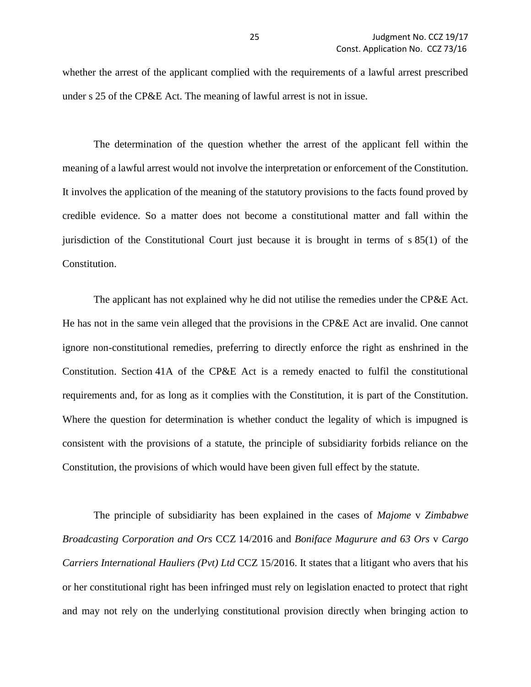whether the arrest of the applicant complied with the requirements of a lawful arrest prescribed under s 25 of the CP&E Act. The meaning of lawful arrest is not in issue.

The determination of the question whether the arrest of the applicant fell within the meaning of a lawful arrest would not involve the interpretation or enforcement of the Constitution. It involves the application of the meaning of the statutory provisions to the facts found proved by credible evidence. So a matter does not become a constitutional matter and fall within the jurisdiction of the Constitutional Court just because it is brought in terms of s 85(1) of the Constitution.

The applicant has not explained why he did not utilise the remedies under the CP&E Act. He has not in the same vein alleged that the provisions in the CP&E Act are invalid. One cannot ignore non-constitutional remedies, preferring to directly enforce the right as enshrined in the Constitution. Section 41A of the CP&E Act is a remedy enacted to fulfil the constitutional requirements and, for as long as it complies with the Constitution, it is part of the Constitution. Where the question for determination is whether conduct the legality of which is impugned is consistent with the provisions of a statute, the principle of subsidiarity forbids reliance on the Constitution, the provisions of which would have been given full effect by the statute.

The principle of subsidiarity has been explained in the cases of *Majome* v *Zimbabwe Broadcasting Corporation and Ors* CCZ 14/2016 and *Boniface Magurure and 63 Ors* v *Cargo Carriers International Hauliers (Pvt) Ltd* CCZ 15/2016. It states that a litigant who avers that his or her constitutional right has been infringed must rely on legislation enacted to protect that right and may not rely on the underlying constitutional provision directly when bringing action to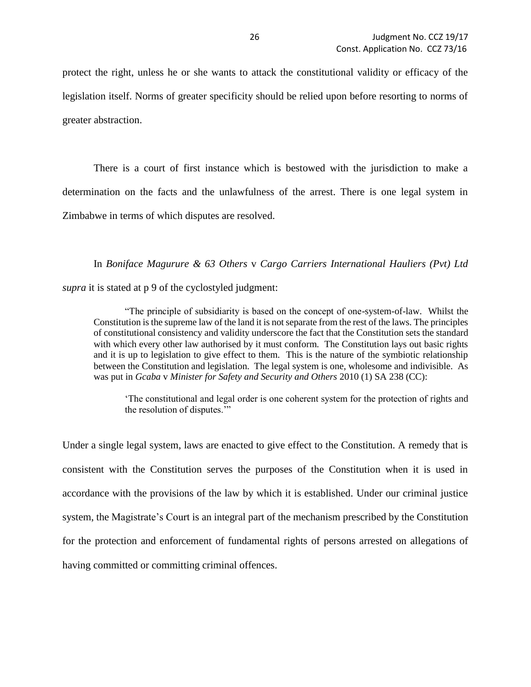protect the right, unless he or she wants to attack the constitutional validity or efficacy of the legislation itself. Norms of greater specificity should be relied upon before resorting to norms of greater abstraction.

There is a court of first instance which is bestowed with the jurisdiction to make a determination on the facts and the unlawfulness of the arrest. There is one legal system in Zimbabwe in terms of which disputes are resolved.

In *Boniface Magurure & 63 Others* v *Cargo Carriers International Hauliers (Pvt) Ltd*

*supra* it is stated at p 9 of the cyclostyled judgment:

"The principle of subsidiarity is based on the concept of one-system-of-law. Whilst the Constitution is the supreme law of the land it is not separate from the rest of the laws. The principles of constitutional consistency and validity underscore the fact that the Constitution sets the standard with which every other law authorised by it must conform. The Constitution lays out basic rights and it is up to legislation to give effect to them. This is the nature of the symbiotic relationship between the Constitution and legislation. The legal system is one, wholesome and indivisible. As was put in *Gcaba* v *Minister for Safety and Security and Others* 2010 (1) SA 238 (CC):

'The constitutional and legal order is one coherent system for the protection of rights and the resolution of disputes.'"

Under a single legal system, laws are enacted to give effect to the Constitution. A remedy that is consistent with the Constitution serves the purposes of the Constitution when it is used in accordance with the provisions of the law by which it is established. Under our criminal justice system, the Magistrate's Court is an integral part of the mechanism prescribed by the Constitution for the protection and enforcement of fundamental rights of persons arrested on allegations of having committed or committing criminal offences.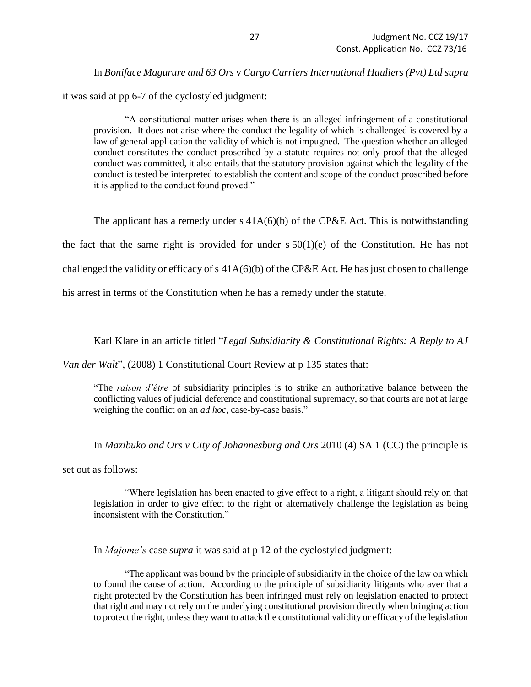In *Boniface Magurure and 63 Ors* v *Cargo Carriers International Hauliers (Pvt) Ltd supra*

it was said at pp 6-7 of the cyclostyled judgment:

"A constitutional matter arises when there is an alleged infringement of a constitutional provision. It does not arise where the conduct the legality of which is challenged is covered by a law of general application the validity of which is not impugned. The question whether an alleged conduct constitutes the conduct proscribed by a statute requires not only proof that the alleged conduct was committed, it also entails that the statutory provision against which the legality of the conduct is tested be interpreted to establish the content and scope of the conduct proscribed before it is applied to the conduct found proved."

The applicant has a remedy under s  $41A(6)(b)$  of the CP&E Act. This is notwithstanding the fact that the same right is provided for under  $s 50(1)(e)$  of the Constitution. He has not

challenged the validity or efficacy of s  $41A(6)(b)$  of the CP&E Act. He has just chosen to challenge

his arrest in terms of the Constitution when he has a remedy under the statute.

Karl Klare in an article titled "*Legal Subsidiarity & Constitutional Rights: A Reply to AJ* 

*Van der Walt*", (2008) 1 Constitutional Court Review at p 135 states that:

"The *raison d'être* of subsidiarity principles is to strike an authoritative balance between the conflicting values of judicial deference and constitutional supremacy, so that courts are not at large weighing the conflict on an *ad hoc*, case-by-case basis."

In *Mazibuko and Ors v City of Johannesburg and Ors* 2010 (4) SA 1 (CC) the principle is

set out as follows:

"Where legislation has been enacted to give effect to a right, a litigant should rely on that legislation in order to give effect to the right or alternatively challenge the legislation as being inconsistent with the Constitution."

In *Majome's* case *supra* it was said at p 12 of the cyclostyled judgment:

"The applicant was bound by the principle of subsidiarity in the choice of the law on which to found the cause of action. According to the principle of subsidiarity litigants who aver that a right protected by the Constitution has been infringed must rely on legislation enacted to protect that right and may not rely on the underlying constitutional provision directly when bringing action to protect the right, unless they want to attack the constitutional validity or efficacy of the legislation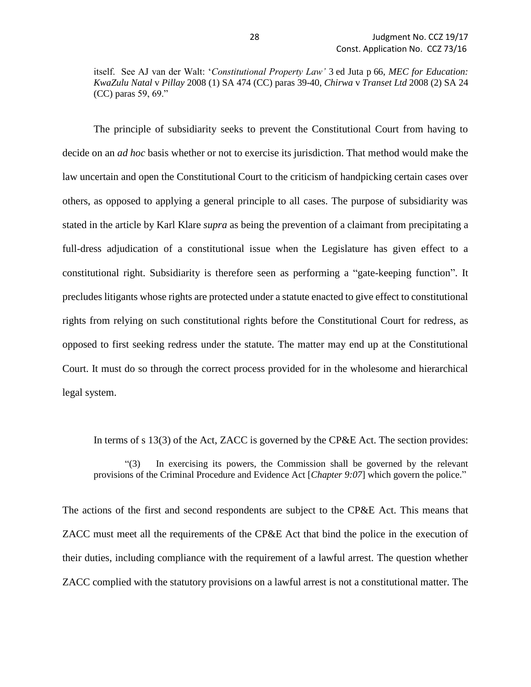itself. See AJ van der Walt: '*Constitutional Property Law'* 3 ed Juta p 66, *MEC for Education: KwaZulu Natal* v *Pillay* 2008 (1) SA 474 (CC) paras 39-40, *Chirwa* v *Transet Ltd* 2008 (2) SA 24 (CC) paras 59, 69."

The principle of subsidiarity seeks to prevent the Constitutional Court from having to decide on an *ad hoc* basis whether or not to exercise its jurisdiction. That method would make the law uncertain and open the Constitutional Court to the criticism of handpicking certain cases over others, as opposed to applying a general principle to all cases. The purpose of subsidiarity was stated in the article by Karl Klare *supra* as being the prevention of a claimant from precipitating a full-dress adjudication of a constitutional issue when the Legislature has given effect to a constitutional right. Subsidiarity is therefore seen as performing a "gate-keeping function". It precludes litigants whose rights are protected under a statute enacted to give effect to constitutional rights from relying on such constitutional rights before the Constitutional Court for redress, as opposed to first seeking redress under the statute. The matter may end up at the Constitutional Court. It must do so through the correct process provided for in the wholesome and hierarchical legal system.

In terms of s 13(3) of the Act, ZACC is governed by the CP&E Act. The section provides:

"(3) In exercising its powers, the Commission shall be governed by the relevant provisions of the Criminal Procedure and Evidence Act [*Chapter 9:07*] which govern the police."

The actions of the first and second respondents are subject to the CP&E Act. This means that ZACC must meet all the requirements of the CP&E Act that bind the police in the execution of their duties, including compliance with the requirement of a lawful arrest. The question whether ZACC complied with the statutory provisions on a lawful arrest is not a constitutional matter. The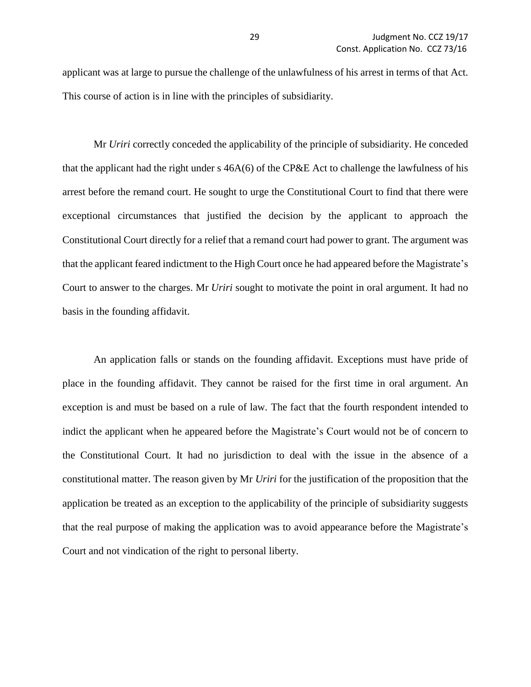applicant was at large to pursue the challenge of the unlawfulness of his arrest in terms of that Act. This course of action is in line with the principles of subsidiarity.

Mr *Uriri* correctly conceded the applicability of the principle of subsidiarity. He conceded that the applicant had the right under s 46A(6) of the CP&E Act to challenge the lawfulness of his arrest before the remand court. He sought to urge the Constitutional Court to find that there were exceptional circumstances that justified the decision by the applicant to approach the Constitutional Court directly for a relief that a remand court had power to grant. The argument was that the applicant feared indictment to the High Court once he had appeared before the Magistrate's Court to answer to the charges. Mr *Uriri* sought to motivate the point in oral argument. It had no basis in the founding affidavit.

An application falls or stands on the founding affidavit. Exceptions must have pride of place in the founding affidavit. They cannot be raised for the first time in oral argument. An exception is and must be based on a rule of law. The fact that the fourth respondent intended to indict the applicant when he appeared before the Magistrate's Court would not be of concern to the Constitutional Court. It had no jurisdiction to deal with the issue in the absence of a constitutional matter. The reason given by Mr *Uriri* for the justification of the proposition that the application be treated as an exception to the applicability of the principle of subsidiarity suggests that the real purpose of making the application was to avoid appearance before the Magistrate's Court and not vindication of the right to personal liberty.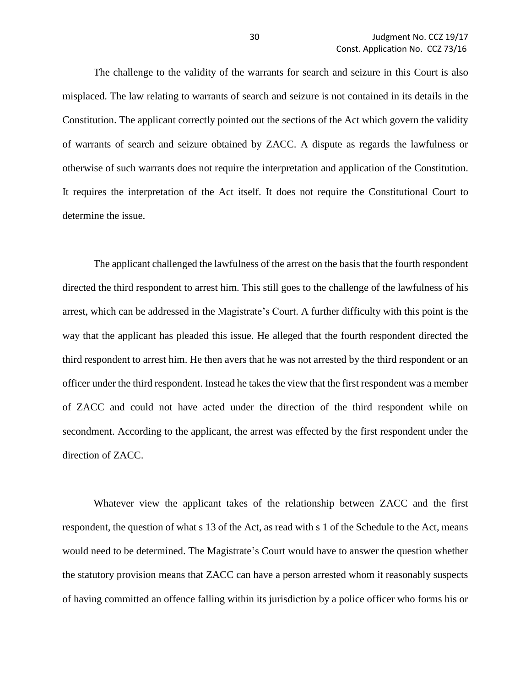The challenge to the validity of the warrants for search and seizure in this Court is also misplaced. The law relating to warrants of search and seizure is not contained in its details in the Constitution. The applicant correctly pointed out the sections of the Act which govern the validity of warrants of search and seizure obtained by ZACC. A dispute as regards the lawfulness or otherwise of such warrants does not require the interpretation and application of the Constitution. It requires the interpretation of the Act itself. It does not require the Constitutional Court to determine the issue.

The applicant challenged the lawfulness of the arrest on the basis that the fourth respondent directed the third respondent to arrest him. This still goes to the challenge of the lawfulness of his arrest, which can be addressed in the Magistrate's Court. A further difficulty with this point is the way that the applicant has pleaded this issue. He alleged that the fourth respondent directed the third respondent to arrest him. He then avers that he was not arrested by the third respondent or an officer under the third respondent. Instead he takes the view that the first respondent was a member of ZACC and could not have acted under the direction of the third respondent while on secondment. According to the applicant, the arrest was effected by the first respondent under the direction of ZACC.

Whatever view the applicant takes of the relationship between ZACC and the first respondent, the question of what s 13 of the Act, as read with s 1 of the Schedule to the Act, means would need to be determined. The Magistrate's Court would have to answer the question whether the statutory provision means that ZACC can have a person arrested whom it reasonably suspects of having committed an offence falling within its jurisdiction by a police officer who forms his or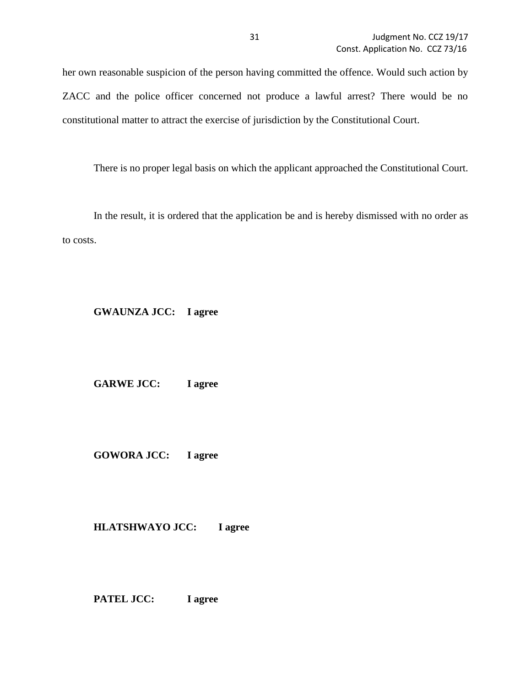her own reasonable suspicion of the person having committed the offence. Would such action by ZACC and the police officer concerned not produce a lawful arrest? There would be no constitutional matter to attract the exercise of jurisdiction by the Constitutional Court.

There is no proper legal basis on which the applicant approached the Constitutional Court.

In the result, it is ordered that the application be and is hereby dismissed with no order as to costs.

### **GWAUNZA JCC: I agree**

**GARWE JCC: I agree**

**GOWORA JCC: I agree**

**HLATSHWAYO JCC: I agree**

**PATEL JCC: I agree**